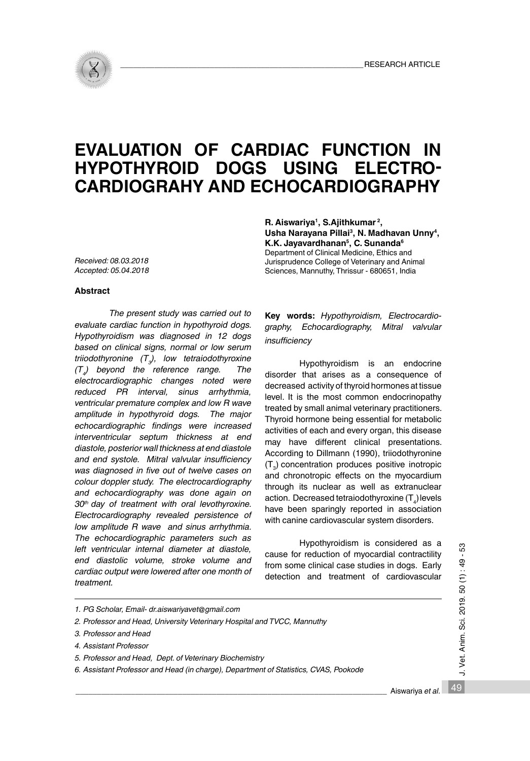# **EVALUATION OF CARDIAC FUNCTION IN HYPOTHYROID DOGS USING ELECTRO-CARDIOGRAHY AND ECHOCARDIOGRAPHY**

*Received: 08.03.2018 Accepted: 05.04.2018*

#### **Abstract**

*The present study was carried out to evaluate cardiac function in hypothyroid dogs. Hypothyroidism was diagnosed in 12 dogs based on clinical signs, normal or low serum triiodothyronine (T3 ), low tetraiodothyroxine (T4 ) beyond the reference range. The electrocardiographic changes noted were reduced PR interval, sinus arrhythmia, ventricular premature complex and low R wave amplitude in hypothyroid dogs. The major echocardiographic findings were increased interventricular septum thickness at end diastole, posterior wall thickness at end diastole and end systole. Mitral valvular insufficiency was diagnosed in five out of twelve cases on colour doppler study. The electrocardiography and echocardiography was done again on 30th day of treatment with oral levothyroxine. Electrocardiography revealed persistence of low amplitude R wave and sinus arrhythmia. The echocardiographic parameters such as left ventricular internal diameter at diastole, end diastolic volume, stroke volume and cardiac output were lowered after one month of treatment.*

**R. Aiswariya1, S.Ajithkumar 2, Usha Narayana Pillai3, N. Madhavan Unny4, K.K. Jayavardhanan5, C. Sunanda6**

Department of Clinical Medicine, Ethics and Jurisprudence College of Veterinary and Animal Sciences, Mannuthy, Thrissur - 680651, India

**Key words:** *Hypothyroidism, Electrocardiography, Echocardiography, Mitral valvular insufficiency*

Hypothyroidism is an endocrine disorder that arises as a consequence of decreased activity of thyroid hormones at tissue level. It is the most common endocrinopathy treated by small animal veterinary practitioners. Thyroid hormone being essential for metabolic activities of each and every organ, this disease may have different clinical presentations. According to Dillmann (1990), triiodothyronine  $(T_{3})$  concentration produces positive inotropic and chronotropic effects on the myocardium through its nuclear as well as extranuclear action. Decreased tetraiodothyroxine (T $_{\tiny{4}}$ ) levels have been sparingly reported in association with canine cardiovascular system disorders.

Hypothyroidism is considered as a cause for reduction of myocardial contractility from some clinical case studies in dogs. Early detection and treatment of cardiovascular

- *5. Professor and Head, Dept. of Veterinary Biochemistry*
- *6. Assistant Professor and Head (in charge), Department of Statistics, CVAS, Pookode*

J. Vet. Anim. Sci. 2019. 50 (1): 49 - 53 49 J. Vet. Anim. Sci. 2019. 50 (1) : 49 - 53

*<sup>1.</sup> PG Scholar, Email- dr.aiswariyavet@gmail.com*

*<sup>2.</sup> Professor and Head, University Veterinary Hospital and TVCC, Mannuthy*

*<sup>3.</sup> Professor and Head*

*<sup>4.</sup> Assistant Professor*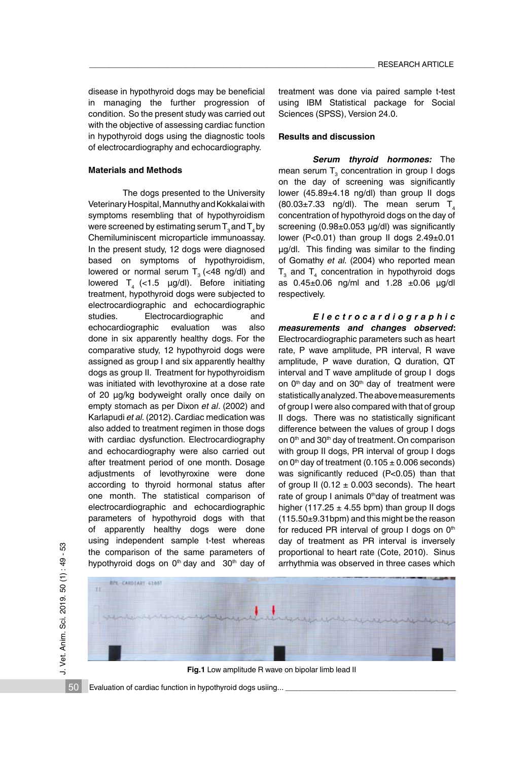disease in hypothyroid dogs may be beneficial in managing the further progression of condition. So the present study was carried out with the objective of assessing cardiac function in hypothyroid dogs using the diagnostic tools of electrocardiography and echocardiography.

### **Materials and Methods**

The dogs presented to the University Veterinary Hospital, Mannuthy and Kokkalai with symptoms resembling that of hypothyroidism were screened by estimating serum  $T_a$  and  $T_a$  by Chemiluminiscent microparticle immunoassay. In the present study, 12 dogs were diagnosed based on symptoms of hypothyroidism, lowered or normal serum  $T<sub>3</sub>$  (<48 ng/dl) and lowered  $T_4$  (<1.5 µg/dl). Before initiating treatment, hypothyroid dogs were subjected to electrocardiographic and echocardiographic studies. Electrocardiographic and echocardiographic evaluation was also done in six apparently healthy dogs. For the comparative study, 12 hypothyroid dogs were assigned as group I and six apparently healthy dogs as group II. Treatment for hypothyroidism was initiated with levothyroxine at a dose rate of 20 µg/kg bodyweight orally once daily on empty stomach as per Dixon *et al*. (2002) and Karlapudi *et al.* (2012). Cardiac medication was also added to treatment regimen in those dogs with cardiac dysfunction. Electrocardiography and echocardiography were also carried out after treatment period of one month. Dosage adjustments of levothyroxine were done according to thyroid hormonal status after one month. The statistical comparison of electrocardiographic and echocardiographic parameters of hypothyroid dogs with that of apparently healthy dogs were done using independent sample t-test whereas the comparison of the same parameters of hypothyroid dogs on  $0<sup>th</sup>$  day and  $30<sup>th</sup>$  day of treatment was done via paired sample t-test using IBM Statistical package for Social Sciences (SPSS), Version 24.0.

# **Results and discussion**

*Serum thyroid hormones:* The mean serum  $T_{3}$  concentration in group I dogs on the day of screening was significantly lower (45.89±4.18 ng/dl) than group II dogs  $(80.03\pm7.33 \text{ ng/dl})$ . The mean serum T<sub>4</sub> concentration of hypothyroid dogs on the day of screening (0.98±0.053 µg/dl) was significantly lower (P<0.01) than group II dogs 2.49±0.01 µg/dl. This finding was similar to the finding of Gomathy *et al.* (2004) who reported mean  $T_{3}$  and  $T_{4}$  concentration in hypothyroid dogs as 0.45±0.06 ng/ml and 1.28 ±0.06 µg/dl respectively.

*E l e c t r o c a r d i o g r a p h i c measurements and changes observed***:**  Electrocardiographic parameters such as heart rate, P wave amplitude, PR interval, R wave amplitude, P wave duration, Q duration, QT interval and T wave amplitude of group I dogs on 0<sup>th</sup> day and on 30<sup>th</sup> day of treatment were statistically analyzed. The above measurements of group I were also compared with that of group II dogs. There was no statistically significant difference between the values of group I dogs on 0<sup>th</sup> and 30<sup>th</sup> day of treatment. On comparison with group II dogs, PR interval of group I dogs on  $0<sup>th</sup>$  day of treatment (0.105  $\pm$  0.006 seconds) was significantly reduced (P<0.05) than that of group II (0.12  $\pm$  0.003 seconds). The heart rate of group I animals 0<sup>th</sup>day of treatment was higher (117.25  $\pm$  4.55 bpm) than group II dogs (115.50±9.31bpm) and this might be the reason for reduced PR interval of group I dogs on  $0<sup>th</sup>$ day of treatment as PR interval is inversely proportional to heart rate (Cote, 2010). Sinus arrhythmia was observed in three cases which

£3



**Fig.1** Low amplitude R wave on bipolar limb lead II

Evaluation of cardiac function in hypothyroid dogs usiing...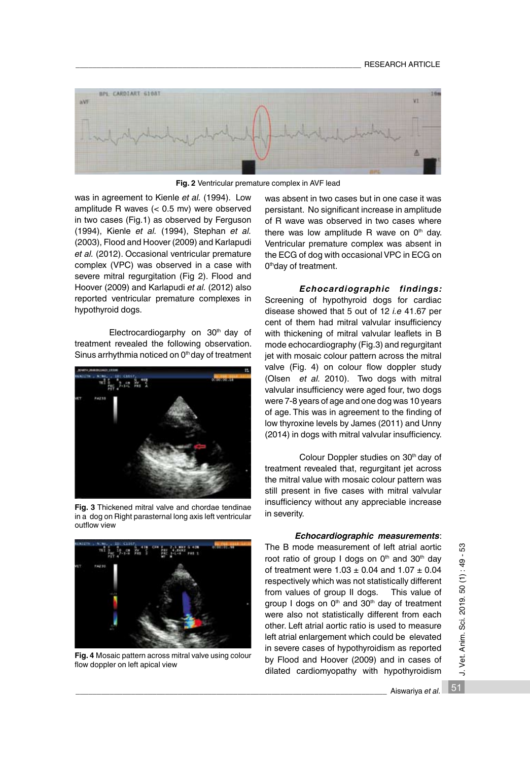

**Fig. 2** Ventricular premature complex in AVF lead

was in agreement to Kienle *et al.* (1994). Low amplitude R waves (< 0.5 mv) were observed in two cases (Fig.1) as observed by Ferguson (1994), Kienle *et al.* (1994), Stephan *et al.* (2003), Flood and Hoover (2009) and Karlapudi *et al.* (2012). Occasional ventricular premature complex (VPC) was observed in a case with severe mitral regurgitation (Fig 2). Flood and Hoover (2009) and Karlapudi *et al.* (2012) also reported ventricular premature complexes in hypothyroid dogs.

Electrocardiogarphy on 30<sup>th</sup> day of treatment revealed the following observation. Sinus arrhythmia noticed on 0<sup>th</sup> day of treatment



**Fig. 3** Thickened mitral valve and chordae tendinae in a dog on Right parasternal long axis left ventricular outflow view



**Fig. 4** Mosaic pattern across mitral valve using colour flow doppler on left apical view

was absent in two cases but in one case it was persistant. No significant increase in amplitude of R wave was observed in two cases where there was low amplitude R wave on  $0<sup>th</sup>$  day. Ventricular premature complex was absent in the ECG of dog with occasional VPC in ECG on 0<sup>th</sup>day of treatment.

*Echocardiographic findings:* Screening of hypothyroid dogs for cardiac disease showed that 5 out of 12 *i.e* 41.67 per cent of them had mitral valvular insufficiency with thickening of mitral valvular leaflets in B mode echocardiography (Fig.3) and regurgitant jet with mosaic colour pattern across the mitral valve (Fig. 4) on colour flow doppler study (Olsen *et al.* 2010). Two dogs with mitral valvular insufficiency were aged four, two dogs were 7-8 years of age and one dog was 10 years of age. This was in agreement to the finding of low thyroxine levels by James (2011) and Unny (2014) in dogs with mitral valvular insufficiency.

Colour Doppler studies on 30<sup>th</sup> day of treatment revealed that, regurgitant jet across the mitral value with mosaic colour pattern was still present in five cases with mitral valvular insufficiency without any appreciable increase in severity.

# *Echocardiographic measurements*:

The B mode measurement of left atrial aortic root ratio of group I dogs on  $0<sup>th</sup>$  and  $30<sup>th</sup>$  day of treatment were  $1.03 \pm 0.04$  and  $1.07 \pm 0.04$ respectively which was not statistically different from values of group II dogs. This value of group I dogs on 0<sup>th</sup> and 30<sup>th</sup> day of treatment were also not statistically different from each other. Left atrial aortic ratio is used to measure left atrial enlargement which could be elevated in severe cases of hypothyroidism as reported by Flood and Hoover (2009) and in cases of dilated cardiomyopathy with hypothyroidism 51 J. Vet. Anim. Sci. 2019. 50 (1) : 49 - 53

J. Vet. Anim. Sci. 2019. 50 (1): 49 - 53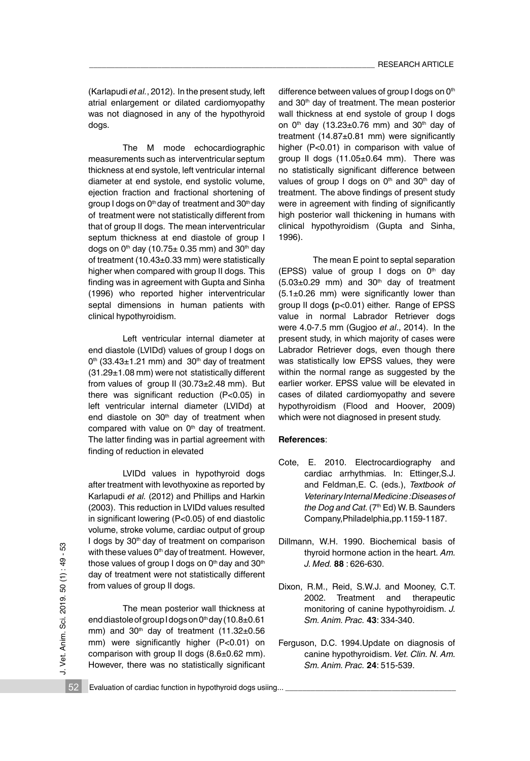(Karlapudi *et al.*, 2012). In the present study, left atrial enlargement or dilated cardiomyopathy was not diagnosed in any of the hypothyroid dogs.

The M mode echocardiographic measurements such as interventricular septum thickness at end systole, left ventricular internal diameter at end systole, end systolic volume, ejection fraction and fractional shortening of group I dogs on 0<sup>th</sup> day of treatment and 30<sup>th</sup> day of treatment were not statistically different from that of group II dogs. The mean interventricular septum thickness at end diastole of group I dogs on  $0<sup>th</sup>$  day (10.75 $\pm$  0.35 mm) and 30<sup>th</sup> day of treatment (10.43±0.33 mm) were statistically higher when compared with group II dogs. This finding was in agreement with Gupta and Sinha (1996) who reported higher interventricular septal dimensions in human patients with clinical hypothyroidism.

 Left ventricular internal diameter at end diastole (LVIDd) values of group I dogs on  $0<sup>th</sup>$  (33.43 $\pm$ 1.21 mm) and 30<sup>th</sup> day of treatment (31.29±1.08 mm) were not statistically different from values of group II (30.73±2.48 mm). But there was significant reduction (P<0.05) in left ventricular internal diameter (LVIDd) at end diastole on 30<sup>th</sup> day of treatment when compared with value on  $0<sup>th</sup>$  day of treatment. The latter finding was in partial agreement with finding of reduction in elevated

 LVIDd values in hypothyroid dogs after treatment with levothyoxine as reported by Karlapudi *et al.* (2012) and Phillips and Harkin (2003). This reduction in LVIDd values resulted in significant lowering (P<0.05) of end diastolic volume, stroke volume, cardiac output of group I dogs by 30<sup>th</sup> day of treatment on comparison with these values  $0<sup>th</sup>$  day of treatment. However, those values of group I dogs on  $0<sup>th</sup>$  day and  $30<sup>th</sup>$ day of treatment were not statistically different from values of group II dogs.

The mean posterior wall thickness at end diastole of group I dogs on  $0<sup>th</sup>$  day (10.8 $\pm$ 0.61 mm) and  $30<sup>th</sup>$  day of treatment  $(11.32 \pm 0.56$ mm) were significantly higher (P<0.01) on comparison with group II dogs (8.6±0.62 mm). However, there was no statistically significant difference between values of group I dogs on 0<sup>th</sup> and 30<sup>th</sup> day of treatment. The mean posterior wall thickness at end systole of group I dogs on  $0<sup>th</sup>$  day (13.23±0.76 mm) and 30<sup>th</sup> day of treatment (14.87±0.81 mm) were significantly higher (P<0.01) in comparison with value of group II dogs (11.05±0.64 mm). There was no statistically significant difference between values of group I dogs on  $0<sup>th</sup>$  and  $30<sup>th</sup>$  day of treatment. The above findings of present study were in agreement with finding of significantly high posterior wall thickening in humans with clinical hypothyroidism (Gupta and Sinha, 1996).

The mean E point to septal separation (EPSS) value of group I dogs on  $0<sup>th</sup>$  day  $(5.03\pm0.29$  mm) and  $30<sup>th</sup>$  day of treatment  $(5.1\pm0.26$  mm) were significantly lower than group II dogs **(**p<0.01) either. Range of EPSS value in normal Labrador Retriever dogs were 4.0-7.5 mm (Gugjoo *et al*., 2014). In the present study, in which majority of cases were Labrador Retriever dogs, even though there was statistically low EPSS values, they were within the normal range as suggested by the earlier worker. EPSS value will be elevated in cases of dilated cardiomyopathy and severe hypothyroidism (Flood and Hoover, 2009) which were not diagnosed in present study.

# **References**:

- Cote, E. 2010. Electrocardiography and cardiac arrhythmias. In: Ettinger,S.J. and Feldman,E. C. (eds.), *Textbook of Veterinary Internal Medicine :Diseases of the Dog and Cat.* (7<sup>th</sup> Ed) W. B. Saunders Company,Philadelphia,pp.1159-1187.
- Dillmann, W.H. 1990. Biochemical basis of thyroid hormone action in the heart. *Am. J. Med.* **88** : 626-630.
- Dixon, R.M., Reid, S.W.J. and Mooney, C.T. 2002. Treatment and therapeutic monitoring of canine hypothyroidism. *J. Sm. Anim. Prac.* **43**: 334-340.
- Ferguson, D.C. 1994.Update on diagnosis of canine hypothyroidism. *Vet. Clin. N. Am. Sm. Anim. Prac.* **24**: 515-539.

52 Evaluation of cardiac function in hypothyroid dogs usiing...